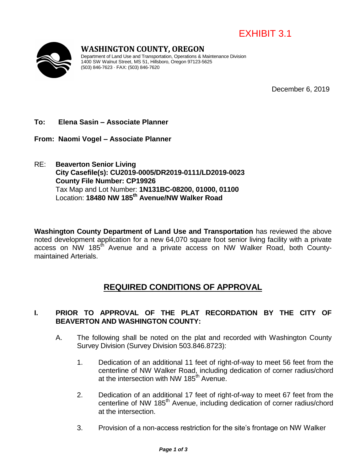



# **WASHINGTON COUNTY, OREGON**

Department of Land Use and Transportation, Operations & Maintenance Division 1400 SW Walnut Street, MS 51, Hillsboro, Oregon 97123-5625 (503) 846-7623 · FAX: (503) 846-7620

December 6, 2019

#### **To: Elena Sasin – Associate Planner**

**From: Naomi Vogel – Associate Planner**

RE: **Beaverton Senior Living City Casefile(s): CU2019-0005/DR2019-0111/LD2019-0023 County File Number: CP19926** Tax Map and Lot Number: **1N131BC-08200, 01000, 01100** Location: **18480 NW 185th Avenue/NW Walker Road**

**Washington County Department of Land Use and Transportation** has reviewed the above noted development application for a new 64,070 square foot senior living facility with a private access on NW 185<sup>th</sup> Avenue and a private access on NW Walker Road, both Countymaintained Arterials.

## **REQUIRED CONDITIONS OF APPROVAL**

### **I. PRIOR TO APPROVAL OF THE PLAT RECORDATION BY THE CITY OF BEAVERTON AND WASHINGTON COUNTY:**

- A. The following shall be noted on the plat and recorded with Washington County Survey Division (Survey Division 503.846.8723):
	- 1. Dedication of an additional 11 feet of right-of-way to meet 56 feet from the centerline of NW Walker Road, including dedication of corner radius/chord at the intersection with NW 185<sup>th</sup> Avenue.
	- 2. Dedication of an additional 17 feet of right-of-way to meet 67 feet from the centerline of NW 185<sup>th</sup> Avenue, including dedication of corner radius/chord at the intersection.
	- 3. Provision of a non-access restriction for the site's frontage on NW Walker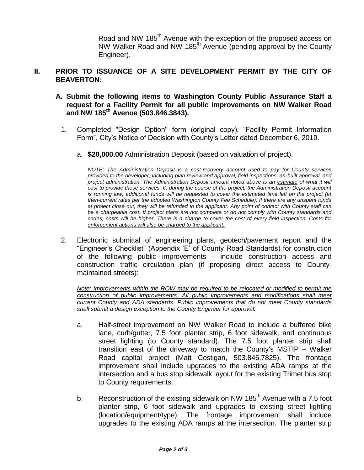Road and NW 185<sup>th</sup> Avenue with the exception of the proposed access on NW Walker Road and NW 185th Avenue (pending approval by the County Engineer).

#### **II. PRIOR TO ISSUANCE OF A SITE DEVELOPMENT PERMIT BY THE CITY OF BEAVERTON:**

- **A. Submit the following items to Washington County Public Assurance Staff a request for a Facility Permit for all public improvements on NW Walker Road and NW 185th Avenue (503.846.3843).** 
	- 1. Completed "Design Option" form (original copy), "Facility Permit Information Form", City's Notice of Decision with County's Letter dated December 6, 2019.
		- a. **\$20,000.00** Administration Deposit (based on valuation of project).

*NOTE: The Administration Deposit is a cost-recovery account used to pay for County services provided to the developer, including plan review and approval, field inspections, as-built approval, and project administration. The Administration Deposit amount noted above is an estimate of what it will cost to provide these services. If, during the course of the project, the Administration Deposit account is running low, additional funds will be requested to cover the estimated time left on the project (at then-current rates per the adopted Washington County Fee Schedule). If there are any unspent funds at project close out, they will be refunded to the applicant. Any point of contact with County staff can be a chargeable cost. If project plans are not complete or do not comply with County standards and codes, costs will be higher. There is a charge to cover the cost of every field inspection. Costs for enforcement actions will also be charged to the applicant.*

2. Electronic submittal of engineering plans, geotech/pavement report and the "Engineer's Checklist" (Appendix 'E' of County Road Standards) for construction of the following public improvements - include construction access and construction traffic circulation plan (if proposing direct access to Countymaintained streets):

*Note: Improvements within the ROW may be required to be relocated or modified to permit the construction of public improvements. All public improvements and modifications shall meet current County and ADA standards. Public improvements that do not meet County standards shall submit a design exception to the County Engineer for approval.*

- a. Half-street improvement on NW Walker Road to include a buffered bike lane, curb/gutter, 7.5 foot planter strip, 6 foot sidewalk, and continuous street lighting (to County standard). The 7.5 foot planter strip shall transition east of the driveway to match the County's MSTIP – Walker Road capital project (Matt Costigan, 503.846.7825). The frontage improvement shall include upgrades to the existing ADA ramps at the intersection and a bus stop sidewalk layout for the existing Trimet bus stop to County requirements.
- b. Reconstruction of the existing sidewalk on NW  $185<sup>th</sup>$  Avenue with a 7.5 foot planter strip, 6 foot sidewalk and upgrades to existing street lighting (location/equipment/type). The frontage improvement shall include upgrades to the existing ADA ramps at the intersection. The planter strip